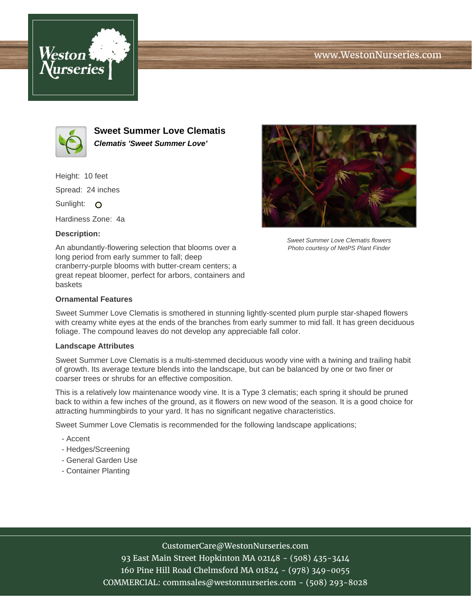





**Sweet Summer Love Clematis Clematis 'Sweet Summer Love'**

Height: 10 feet Spread: 24 inches

Sunlight: O

Hardiness Zone: 4a

## **Description:**

An abundantly-flowering selection that blooms over a long period from early summer to fall; deep cranberry-purple blooms with butter-cream centers; a great repeat bloomer, perfect for arbors, containers and baskets



Sweet Summer Love Clematis flowers Photo courtesy of NetPS Plant Finder

## **Ornamental Features**

Sweet Summer Love Clematis is smothered in stunning lightly-scented plum purple star-shaped flowers with creamy white eyes at the ends of the branches from early summer to mid fall. It has green deciduous foliage. The compound leaves do not develop any appreciable fall color.

#### **Landscape Attributes**

Sweet Summer Love Clematis is a multi-stemmed deciduous woody vine with a twining and trailing habit of growth. Its average texture blends into the landscape, but can be balanced by one or two finer or coarser trees or shrubs for an effective composition.

This is a relatively low maintenance woody vine. It is a Type 3 clematis; each spring it should be pruned back to within a few inches of the ground, as it flowers on new wood of the season. It is a good choice for attracting hummingbirds to your yard. It has no significant negative characteristics.

Sweet Summer Love Clematis is recommended for the following landscape applications;

- Accent
- Hedges/Screening
- General Garden Use
- Container Planting

## CustomerCare@WestonNurseries.com

93 East Main Street Hopkinton MA 02148 - (508) 435-3414 160 Pine Hill Road Chelmsford MA 01824 - (978) 349-0055 COMMERCIAL: commsales@westonnurseries.com - (508) 293-8028